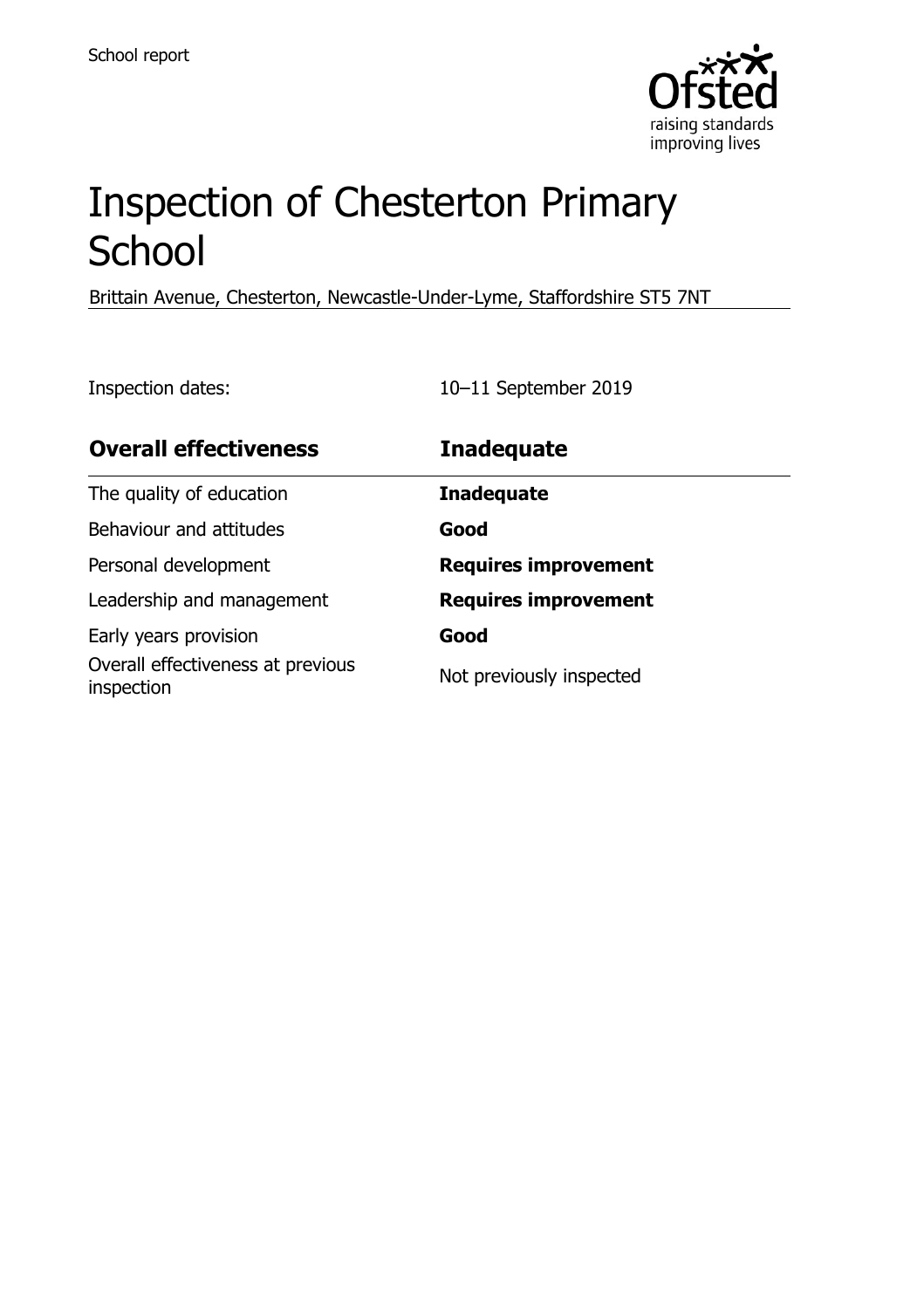

# Inspection of Chesterton Primary **School**

Brittain Avenue, Chesterton, Newcastle-Under-Lyme, Staffordshire ST5 7NT

Inspection dates: 10–11 September 2019

| <b>Overall effectiveness</b>                    | <b>Inadequate</b>           |
|-------------------------------------------------|-----------------------------|
| The quality of education                        | <b>Inadequate</b>           |
| Behaviour and attitudes                         | Good                        |
| Personal development                            | <b>Requires improvement</b> |
| Leadership and management                       | <b>Requires improvement</b> |
| Early years provision                           | Good                        |
| Overall effectiveness at previous<br>inspection | Not previously inspected    |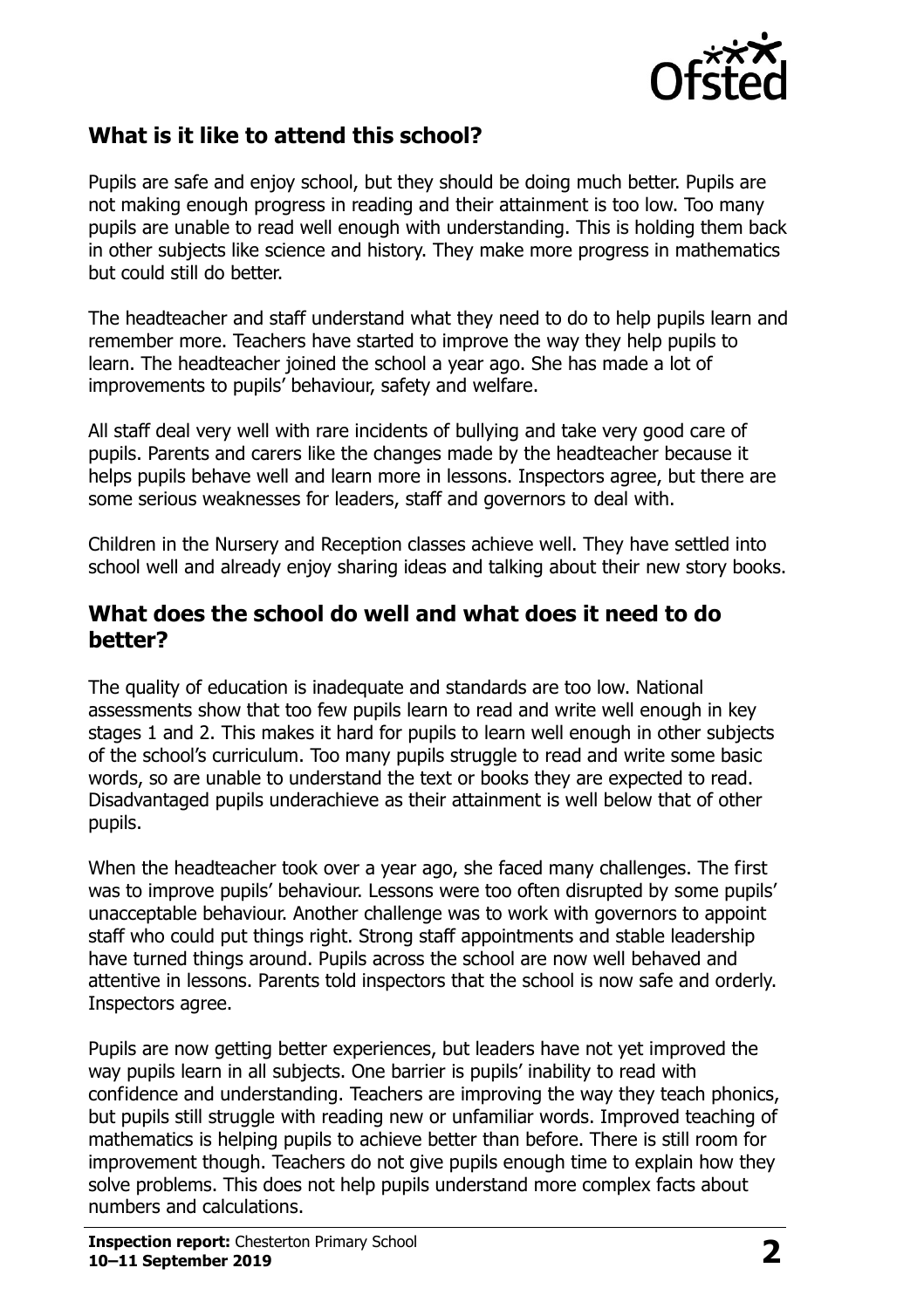

#### **What is it like to attend this school?**

Pupils are safe and enjoy school, but they should be doing much better. Pupils are not making enough progress in reading and their attainment is too low. Too many pupils are unable to read well enough with understanding. This is holding them back in other subjects like science and history. They make more progress in mathematics but could still do better.

The headteacher and staff understand what they need to do to help pupils learn and remember more. Teachers have started to improve the way they help pupils to learn. The headteacher joined the school a year ago. She has made a lot of improvements to pupils' behaviour, safety and welfare.

All staff deal very well with rare incidents of bullying and take very good care of pupils. Parents and carers like the changes made by the headteacher because it helps pupils behave well and learn more in lessons. Inspectors agree, but there are some serious weaknesses for leaders, staff and governors to deal with.

Children in the Nursery and Reception classes achieve well. They have settled into school well and already enjoy sharing ideas and talking about their new story books.

#### **What does the school do well and what does it need to do better?**

The quality of education is inadequate and standards are too low. National assessments show that too few pupils learn to read and write well enough in key stages 1 and 2. This makes it hard for pupils to learn well enough in other subjects of the school's curriculum. Too many pupils struggle to read and write some basic words, so are unable to understand the text or books they are expected to read. Disadvantaged pupils underachieve as their attainment is well below that of other pupils.

When the headteacher took over a year ago, she faced many challenges. The first was to improve pupils' behaviour. Lessons were too often disrupted by some pupils' unacceptable behaviour. Another challenge was to work with governors to appoint staff who could put things right. Strong staff appointments and stable leadership have turned things around. Pupils across the school are now well behaved and attentive in lessons. Parents told inspectors that the school is now safe and orderly. Inspectors agree.

Pupils are now getting better experiences, but leaders have not yet improved the way pupils learn in all subjects. One barrier is pupils' inability to read with confidence and understanding. Teachers are improving the way they teach phonics, but pupils still struggle with reading new or unfamiliar words. Improved teaching of mathematics is helping pupils to achieve better than before. There is still room for improvement though. Teachers do not give pupils enough time to explain how they solve problems. This does not help pupils understand more complex facts about numbers and calculations.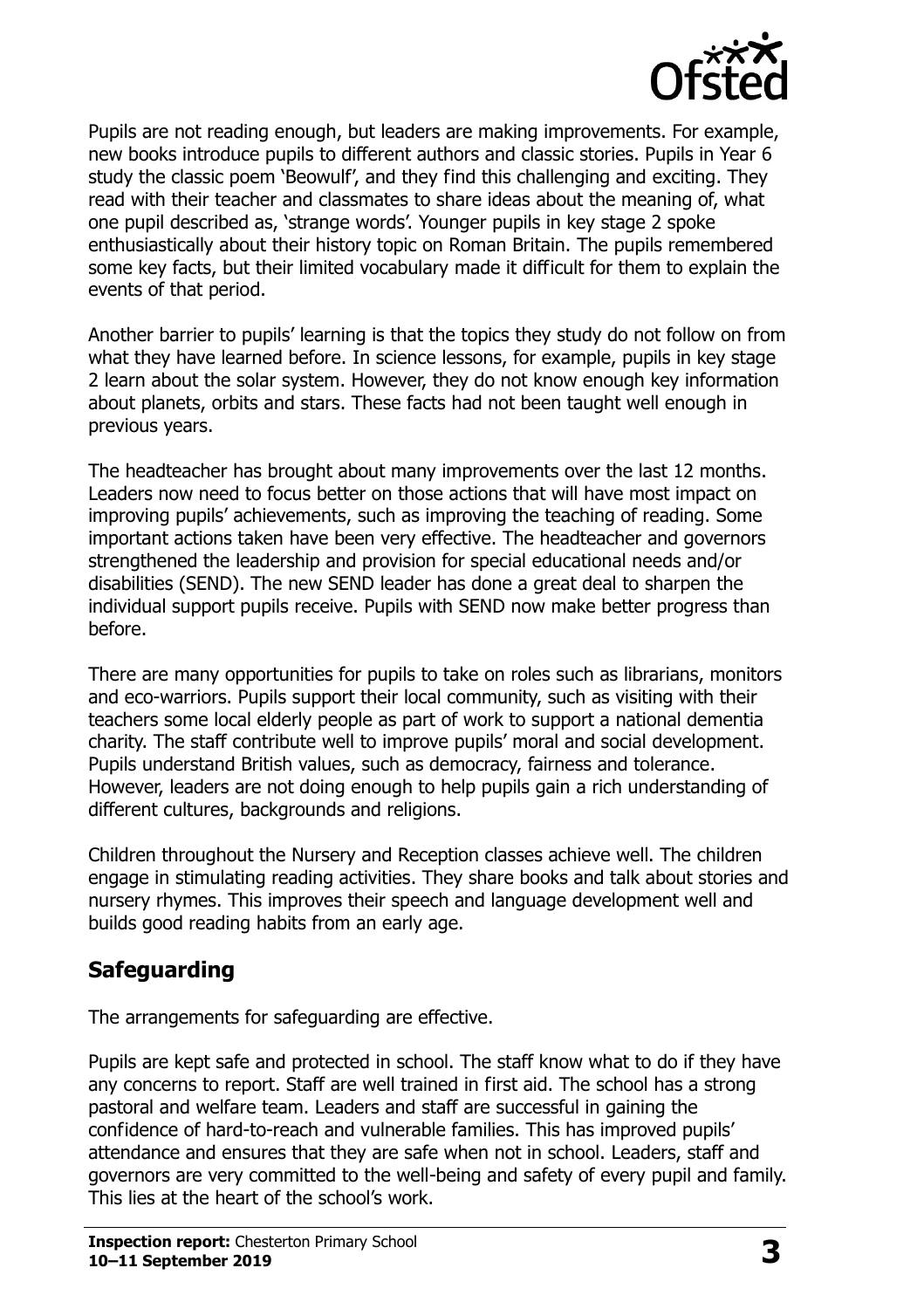

Pupils are not reading enough, but leaders are making improvements. For example, new books introduce pupils to different authors and classic stories. Pupils in Year 6 study the classic poem 'Beowulf', and they find this challenging and exciting. They read with their teacher and classmates to share ideas about the meaning of, what one pupil described as, 'strange words'. Younger pupils in key stage 2 spoke enthusiastically about their history topic on Roman Britain. The pupils remembered some key facts, but their limited vocabulary made it difficult for them to explain the events of that period.

Another barrier to pupils' learning is that the topics they study do not follow on from what they have learned before. In science lessons, for example, pupils in key stage 2 learn about the solar system. However, they do not know enough key information about planets, orbits and stars. These facts had not been taught well enough in previous years.

The headteacher has brought about many improvements over the last 12 months. Leaders now need to focus better on those actions that will have most impact on improving pupils' achievements, such as improving the teaching of reading. Some important actions taken have been very effective. The headteacher and governors strengthened the leadership and provision for special educational needs and/or disabilities (SEND). The new SEND leader has done a great deal to sharpen the individual support pupils receive. Pupils with SEND now make better progress than before.

There are many opportunities for pupils to take on roles such as librarians, monitors and eco-warriors. Pupils support their local community, such as visiting with their teachers some local elderly people as part of work to support a national dementia charity. The staff contribute well to improve pupils' moral and social development. Pupils understand British values, such as democracy, fairness and tolerance. However, leaders are not doing enough to help pupils gain a rich understanding of different cultures, backgrounds and religions.

Children throughout the Nursery and Reception classes achieve well. The children engage in stimulating reading activities. They share books and talk about stories and nursery rhymes. This improves their speech and language development well and builds good reading habits from an early age.

#### **Safeguarding**

The arrangements for safeguarding are effective.

Pupils are kept safe and protected in school. The staff know what to do if they have any concerns to report. Staff are well trained in first aid. The school has a strong pastoral and welfare team. Leaders and staff are successful in gaining the confidence of hard-to-reach and vulnerable families. This has improved pupils' attendance and ensures that they are safe when not in school. Leaders, staff and governors are very committed to the well-being and safety of every pupil and family. This lies at the heart of the school's work.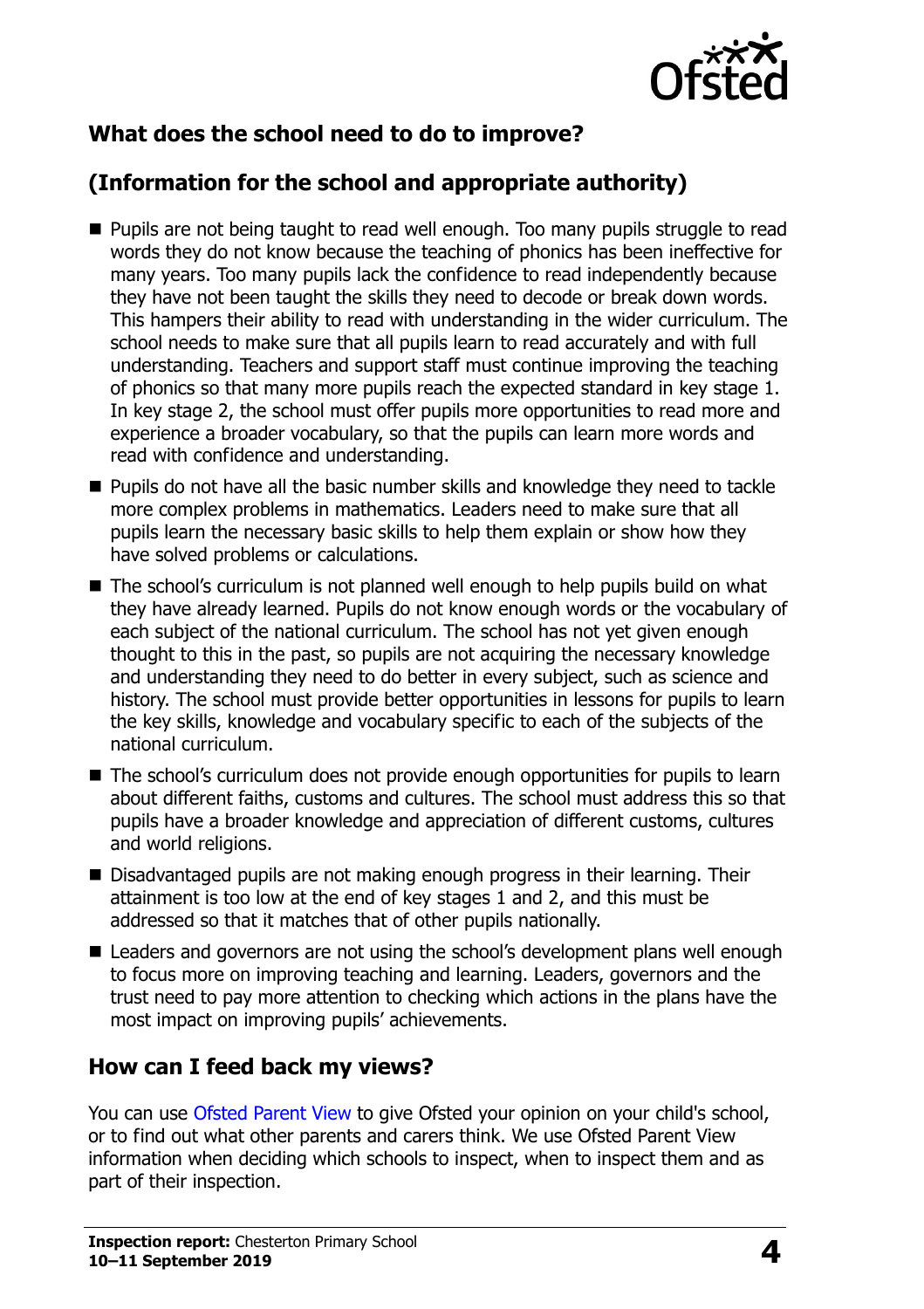

### **What does the school need to do to improve?**

## **(Information for the school and appropriate authority)**

- **Pupils are not being taught to read well enough. Too many pupils struggle to read** words they do not know because the teaching of phonics has been ineffective for many years. Too many pupils lack the confidence to read independently because they have not been taught the skills they need to decode or break down words. This hampers their ability to read with understanding in the wider curriculum. The school needs to make sure that all pupils learn to read accurately and with full understanding. Teachers and support staff must continue improving the teaching of phonics so that many more pupils reach the expected standard in key stage 1. In key stage 2, the school must offer pupils more opportunities to read more and experience a broader vocabulary, so that the pupils can learn more words and read with confidence and understanding.
- **Pupils do not have all the basic number skills and knowledge they need to tackle** more complex problems in mathematics. Leaders need to make sure that all pupils learn the necessary basic skills to help them explain or show how they have solved problems or calculations.
- The school's curriculum is not planned well enough to help pupils build on what they have already learned. Pupils do not know enough words or the vocabulary of each subject of the national curriculum. The school has not yet given enough thought to this in the past, so pupils are not acquiring the necessary knowledge and understanding they need to do better in every subject, such as science and history. The school must provide better opportunities in lessons for pupils to learn the key skills, knowledge and vocabulary specific to each of the subjects of the national curriculum.
- The school's curriculum does not provide enough opportunities for pupils to learn about different faiths, customs and cultures. The school must address this so that pupils have a broader knowledge and appreciation of different customs, cultures and world religions.
- Disadvantaged pupils are not making enough progress in their learning. Their attainment is too low at the end of key stages 1 and 2, and this must be addressed so that it matches that of other pupils nationally.
- Leaders and governors are not using the school's development plans well enough to focus more on improving teaching and learning. Leaders, governors and the trust need to pay more attention to checking which actions in the plans have the most impact on improving pupils' achievements.

#### **How can I feed back my views?**

You can use [Ofsted Parent View](http://parentview.ofsted.gov.uk/) to give Ofsted your opinion on your child's school, or to find out what other parents and carers think. We use Ofsted Parent View information when deciding which schools to inspect, when to inspect them and as part of their inspection.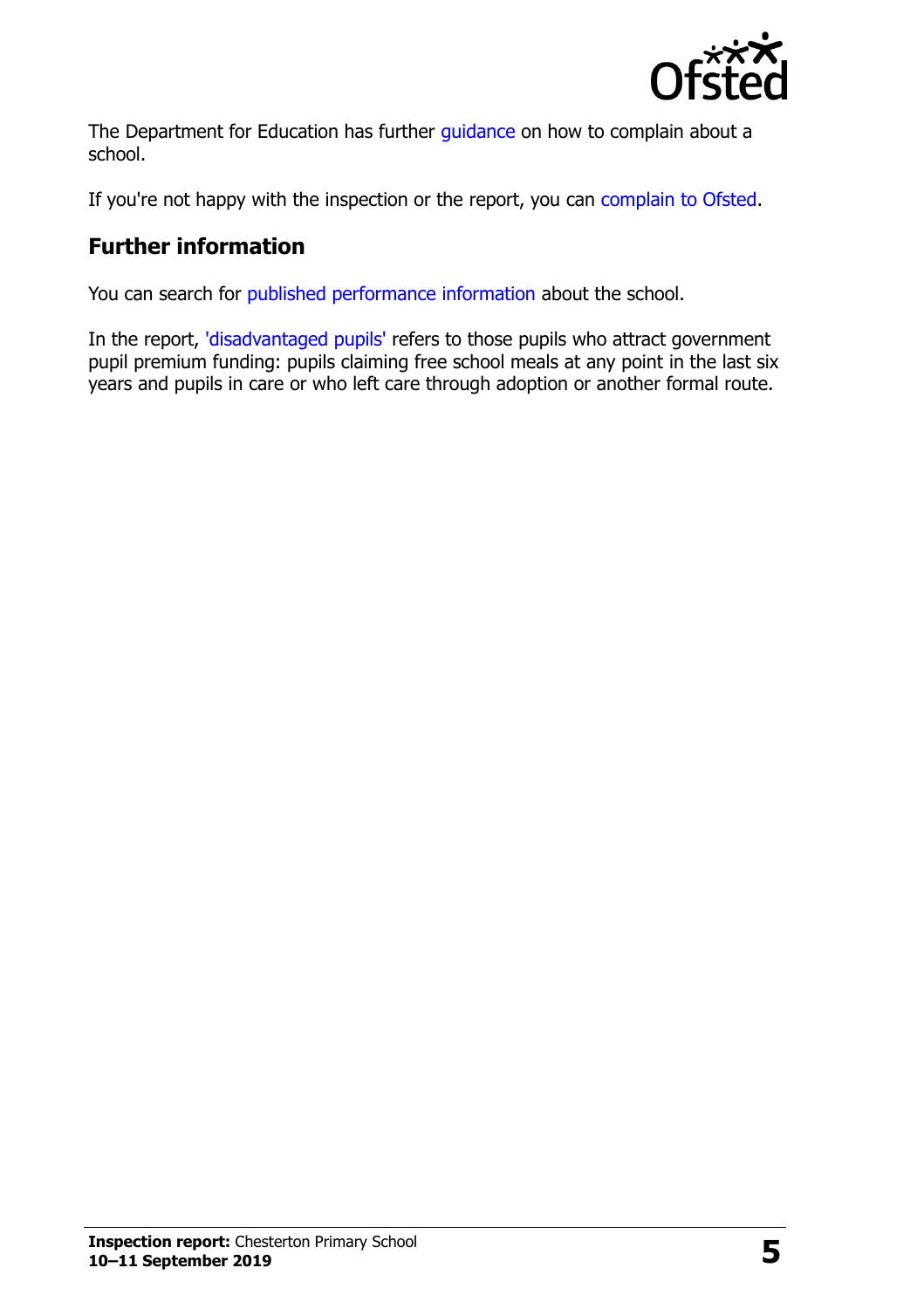

The Department for Education has further quidance on how to complain about a school.

If you're not happy with the inspection or the report, you can [complain to Ofsted.](http://www.gov.uk/complain-ofsted-report)

### **Further information**

You can search for [published performance information](http://www.compare-school-performance.service.gov.uk/) about the school.

In the report, ['disadvantaged pupils'](http://www.gov.uk/guidance/pupil-premium-information-for-schools-and-alternative-provision-settings) refers to those pupils who attract government pupil premium funding: pupils claiming free school meals at any point in the last six years and pupils in care or who left care through adoption or another formal route.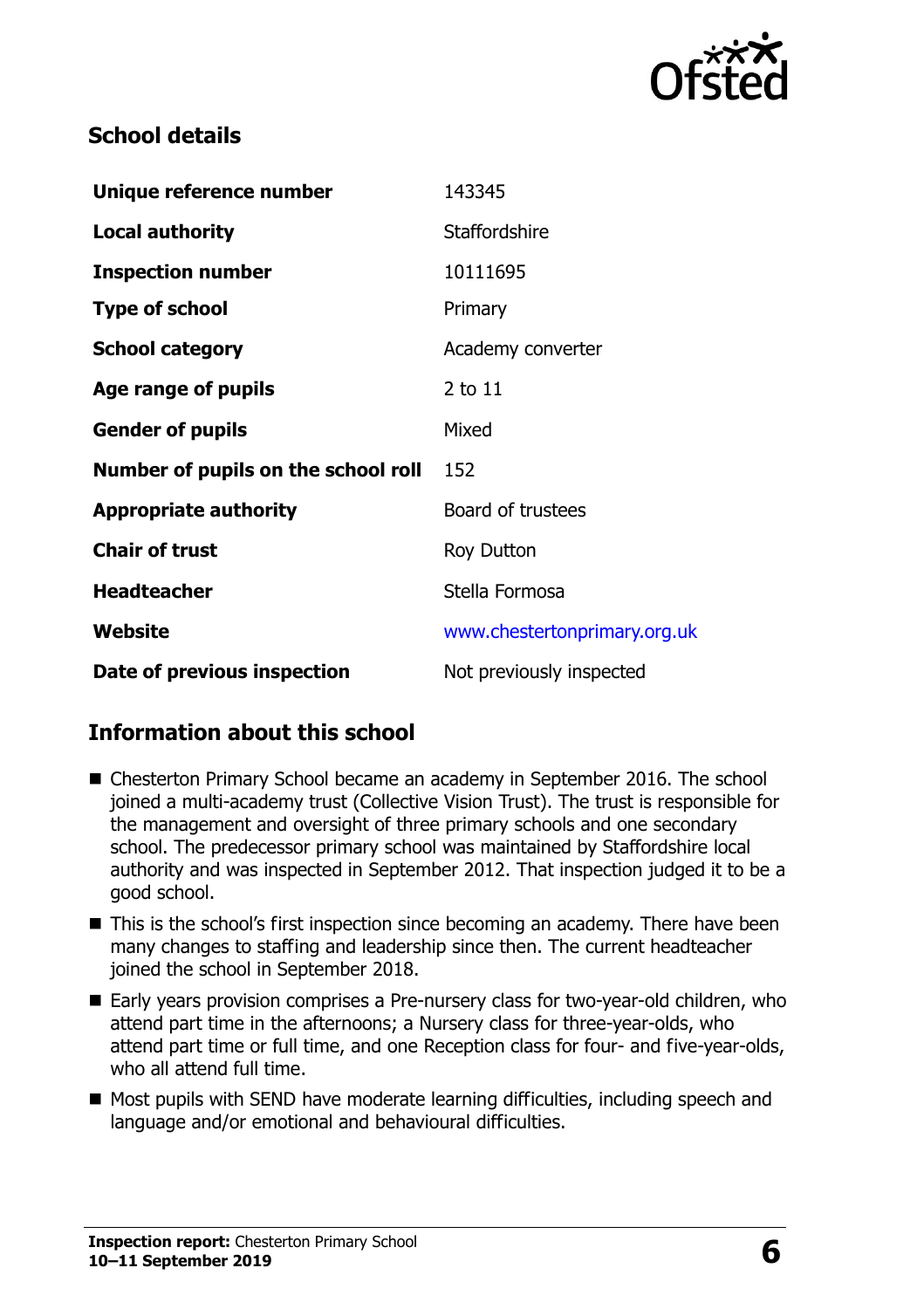

#### **School details**

| Unique reference number             | 143345                       |
|-------------------------------------|------------------------------|
| <b>Local authority</b>              | <b>Staffordshire</b>         |
| <b>Inspection number</b>            | 10111695                     |
| <b>Type of school</b>               | Primary                      |
| <b>School category</b>              | Academy converter            |
| Age range of pupils                 | $2$ to $11$                  |
| <b>Gender of pupils</b>             | Mixed                        |
| Number of pupils on the school roll | 152                          |
| <b>Appropriate authority</b>        | Board of trustees            |
| <b>Chair of trust</b>               | <b>Roy Dutton</b>            |
| <b>Headteacher</b>                  | Stella Formosa               |
| Website                             | www.chestertonprimary.org.uk |
| Date of previous inspection         | Not previously inspected     |

#### **Information about this school**

- Chesterton Primary School became an academy in September 2016. The school joined a multi-academy trust (Collective Vision Trust). The trust is responsible for the management and oversight of three primary schools and one secondary school. The predecessor primary school was maintained by Staffordshire local authority and was inspected in September 2012. That inspection judged it to be a good school.
- This is the school's first inspection since becoming an academy. There have been many changes to staffing and leadership since then. The current headteacher joined the school in September 2018.
- Early years provision comprises a Pre-nursery class for two-year-old children, who attend part time in the afternoons; a Nursery class for three-year-olds, who attend part time or full time, and one Reception class for four- and five-year-olds, who all attend full time.
- Most pupils with SEND have moderate learning difficulties, including speech and language and/or emotional and behavioural difficulties.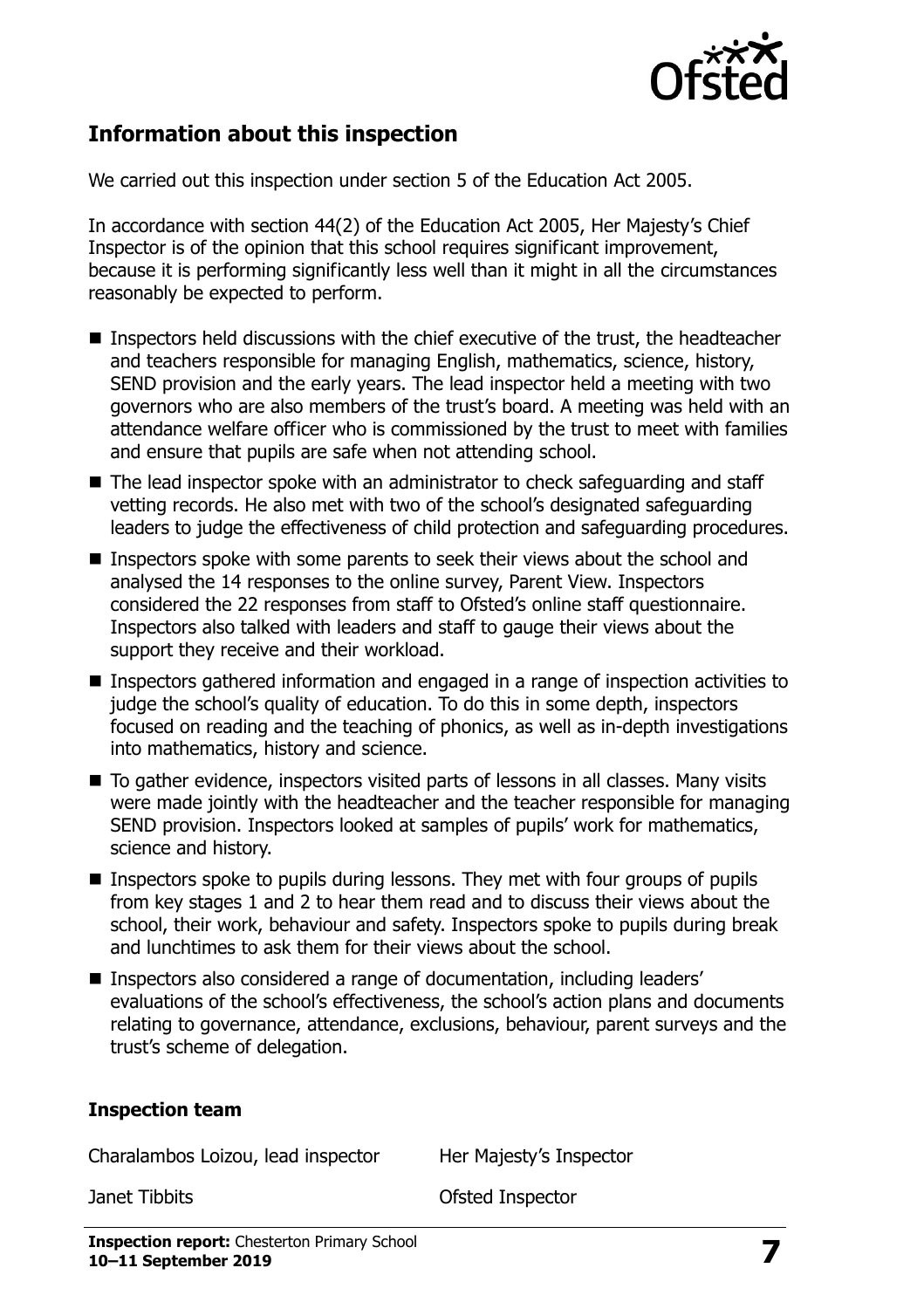

#### **Information about this inspection**

We carried out this inspection under section 5 of the Education Act 2005.

In accordance with section 44(2) of the Education Act 2005, Her Majesty's Chief Inspector is of the opinion that this school requires significant improvement, because it is performing significantly less well than it might in all the circumstances reasonably be expected to perform.

- Inspectors held discussions with the chief executive of the trust, the headteacher and teachers responsible for managing English, mathematics, science, history, SEND provision and the early years. The lead inspector held a meeting with two governors who are also members of the trust's board. A meeting was held with an attendance welfare officer who is commissioned by the trust to meet with families and ensure that pupils are safe when not attending school.
- The lead inspector spoke with an administrator to check safeguarding and staff vetting records. He also met with two of the school's designated safeguarding leaders to judge the effectiveness of child protection and safeguarding procedures.
- Inspectors spoke with some parents to seek their views about the school and analysed the 14 responses to the online survey, Parent View. Inspectors considered the 22 responses from staff to Ofsted's online staff questionnaire. Inspectors also talked with leaders and staff to gauge their views about the support they receive and their workload.
- Inspectors gathered information and engaged in a range of inspection activities to judge the school's quality of education. To do this in some depth, inspectors focused on reading and the teaching of phonics, as well as in-depth investigations into mathematics, history and science.
- To gather evidence, inspectors visited parts of lessons in all classes. Many visits were made jointly with the headteacher and the teacher responsible for managing SEND provision. Inspectors looked at samples of pupils' work for mathematics, science and history.
- **Inspectors spoke to pupils during lessons. They met with four groups of pupils** from key stages 1 and 2 to hear them read and to discuss their views about the school, their work, behaviour and safety. Inspectors spoke to pupils during break and lunchtimes to ask them for their views about the school.
- Inspectors also considered a range of documentation, including leaders' evaluations of the school's effectiveness, the school's action plans and documents relating to governance, attendance, exclusions, behaviour, parent surveys and the trust's scheme of delegation.

#### **Inspection team**

Charalambos Loizou, lead inspector Her Majesty's Inspector

Janet Tibbits Ofsted Inspector